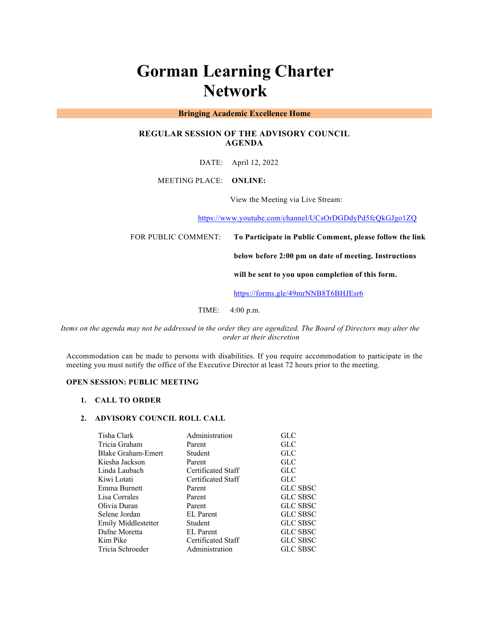# **Gorman Learning Charter Network**

## **Bringing Academic Excellence Home**

# **REGULAR SESSION OF THE ADVISORY COUNCIL AGENDA**

DATE: April 12, 2022

### MEETING PLACE: **ONLINE:**

View the Meeting via Live Stream:

https://www.youtube.com/channel/UCsOrDGDdyPd5fcQkGJgo1ZQ

FOR PUBLIC COMMENT: **To Participate in Public Comment, please follow the link** 

**below before 2:00 pm on date of meeting. Instructions** 

**will be sent to you upon completion of this form.**

https://forms.gle/49mrNNB8T6BHJEsr6

TIME: 4:00 p.m.

*Items on the agenda may not be addressed in the order they are agendized. The Board of Directors may alter the order at their discretion*

Accommodation can be made to persons with disabilities. If you require accommodation to participate in the meeting you must notify the office of the Executive Director at least 72 hours prior to the meeting.

## **OPEN SESSION: PUBLIC MEETING**

#### **1. CALL TO ORDER**

#### **2. ADVISORY COUNCIL ROLL CALL**

| Tisha Clark         | Administration     | <b>GLC</b>      |
|---------------------|--------------------|-----------------|
| Tricia Graham       | Parent             | <b>GLC</b>      |
| Blake Graham-Emert  | Student            | GLC             |
| Kiesha Jackson      | Parent             | GLC             |
| Linda Laubach       | Certificated Staff | <b>GLC</b>      |
| Kiwi Lotati         | Certificated Staff | <b>GLC</b>      |
| Emma Burnett        | Parent             | <b>GLC SBSC</b> |
| Lisa Corrales       | Parent             | <b>GLC SBSC</b> |
| Olivia Duran        | Parent             | <b>GLC SBSC</b> |
| Selene Jordan       | <b>EL</b> Parent   | <b>GLC SBSC</b> |
| Emily Middlestetter | Student            | <b>GLC SBSC</b> |
| Dafne Moretta       | <b>EL</b> Parent   | <b>GLC SBSC</b> |
| Kim Pike            | Certificated Staff | <b>GLC SBSC</b> |
| Tricia Schroeder    | Administration     | <b>GLC SBSC</b> |
|                     |                    |                 |